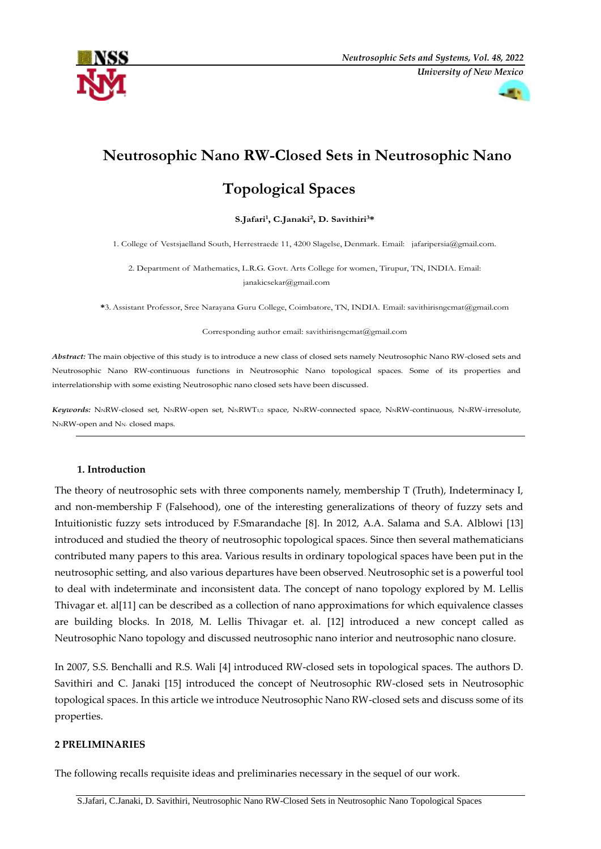



# **Neutrosophic Nano RW-Closed Sets in Neutrosophic Nano**

## **Topological Spaces**

#### **S.Jafari1 , C.Janaki2, D. Savithiri3\***

1. College of Vestsjaelland South, H[errestraede 11, 4200 Slagels](mailto:janakicsekar@gmail.com)e, Denmark. Email: jafaripersia@gmail.com.

2. Department of Mathematics, L.R.G. Govt. Arts College for women, Tirupur[, TN, INDIA. Email:](mailto:savithirisngcmat@gmail.com)  janakicsekar@gmail.com

**\***3.Assistant Professor, Sree Narayana Guru College, Coi[mbatore, TN, INDIA. Email: sa](mailto:savithirisngcmat@gmail.com)vithirisngcmat@gmail.com

Corresponding author email: savithirisngcmat@gmail.com

*Abstract:* The main objective of this study is to introduce a new class of closed sets namely Neutrosophic Nano RW-closed sets and Neutrosophic Nano RW-continuous functions in Neutrosophic Nano topological spaces. Some of its properties and interrelationship with some existing Neutrosophic nano closed sets have been discussed.

Keywords: NNRW-closed set, NNRW-open set, NNRWT1/2 space, NNRW-connected space, NNRW-continuous, NNRW-irresolute, N<sub>NR</sub>W-open and N<sub>N-</sub> closed maps.

#### **1. Introduction**

The theory of neutrosophic sets with three components namely, membership T (Truth), Indeterminacy I, and non-membership F (Falsehood), one of the interesting generalizations of theory of fuzzy sets and Intuitionistic fuzzy sets introduced by F.Smarandache [8]. In 2012, A.A. Salama and S.A. Alblowi [13] introduced and studied the theory of neutrosophic topological spaces. Since then several mathematicians contributed many papers to this area. Various results in ordinary topological spaces have been put in the neutrosophic setting, and also various departures have been observed*.* Neutrosophic set is a powerful tool to deal with indeterminate and inconsistent data. The concept of nano topology explored by M. Lellis Thivagar et. al[11] can be described as a collection of nano approximations for which equivalence classes are building blocks. In 2018, M. Lellis Thivagar et. al. [12] introduced a new concept called as Neutrosophic Nano topology and discussed neutrosophic nano interior and neutrosophic nano closure.

In 2007, S.S. Benchalli and R.S. Wali [4] introduced RW-closed sets in topological spaces. The authors D. Savithiri and C. Janaki [15] introduced the concept of Neutrosophic RW-closed sets in Neutrosophic topological spaces. In this article we introduce Neutrosophic Nano RW-closed sets and discuss some of its properties.

#### **2 PRELIMINARIES**

The following recalls requisite ideas and preliminaries necessary in the sequel of our work.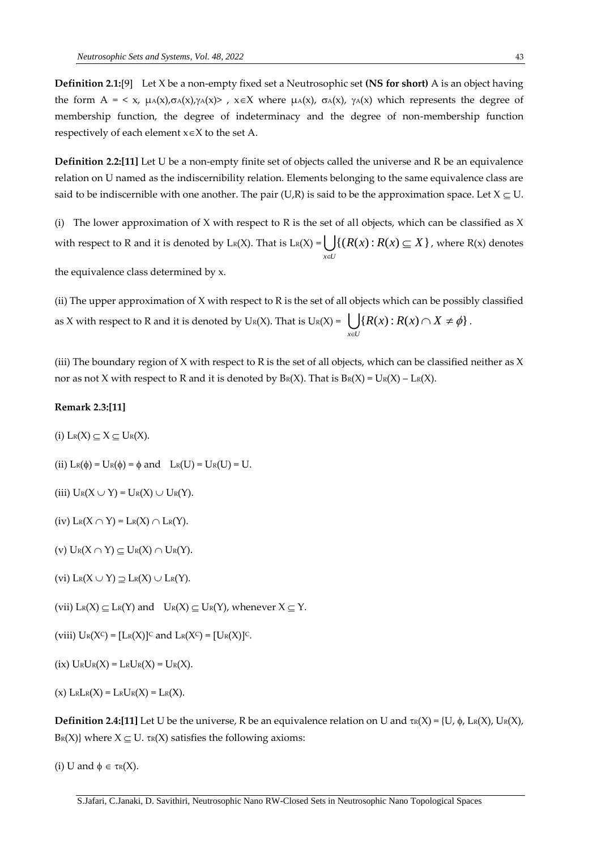**Definition 2.1:**[9] Let X be a non-empty fixed set a Neutrosophic set **(NS for short)** A is an object having the form  $A = \langle x, \mu_A(x), \sigma_A(x), \gamma_A(x) \rangle$ ,  $x \in X$  where  $\mu_A(x), \sigma_A(x), \gamma_A(x)$  which represents the degree of membership function, the degree of indeterminacy and the degree of non-membership function respectively of each element  $x \in X$  to the set A.

**Definition 2.2:[11]** Let U be a non-empty finite set of objects called the universe and R be an equivalence relation on U named as the indiscernibility relation. Elements belonging to the same equivalence class are said to be indiscernible with one another. The pair (U,R) is said to be the approximation space. Let  $X \subseteq U$ .

(i) The lower approximation of X with respect to R is the set of all objects, which can be classified as X with respect to R and it is denoted by  $L_R(X)$ . That is  $L_R(X) = \bigcup_{x \in U}$  $R(x): R(x) \subseteq X$ :∈  $\{(R(x): R(x) \subseteq X\}$ , where R(x) denotes

the equivalence class determined by x.

(ii) The upper approximation of X with respect to R is the set of all objects which can be possibly classified as X with respect to R and it is denoted by U<sub>R</sub>(X). That is U<sub>R</sub>(X) =  $\bigcup_{x \in U}$  $R(x): R(x) \cap X$ ë  ${R(x) : R(x) \cap X \neq \phi}.$ 

(iii) The boundary region of X with respect to R is the set of all objects, which can be classified neither as X nor as not X with respect to R and it is denoted by  $B_R(X)$ . That is  $B_R(X) = U_R(X) - L_R(X)$ .

#### **Remark 2.3:[11]**

- (i)  $L_R(X) \subseteq X \subseteq U_R(X)$ .
- (ii)  $L_{R}(\phi) = U_{R}(\phi) = \phi$  and  $L_{R}(U) = U_{R}(U) = U$ .

(iii)  $U_R(X \cup Y) = U_R(X) \cup U_R(Y)$ .

(iv)  $L_R(X \cap Y) = L_R(X) \cap L_R(Y)$ .

(v)  $U_R(X \cap Y) \subseteq U_R(X) \cap U_R(Y)$ .

(vi)  $L_R(X \cup Y) \supseteq L_R(X) \cup L_R(Y)$ .

(vii)  $L_R(X) \subseteq L_R(Y)$  and  $U_R(X) \subseteq U_R(Y)$ , whenever  $X \subseteq Y$ .

(viii)  $U_R(X^C) = [L_R(X)]^C$  and  $L_R(X^C) = [U_R(X)]^C$ .

 $(ix)$  URUR $(X)$  = LRUR $(X)$  = UR $(X)$ .

 $(x)$  LRLR $(X)$  = LRUR $(X)$  = LR $(X)$ .

**Definition 2.4:[11]** Let U be the universe, R be an equivalence relation on U and  $\text{TR}(X) = \{U, \phi, \text{L}(\text{R}(X), \text{U}(\text{R}(X)))\}$  $B_R(X)$  where  $X \subseteq U$ .  $\tau_R(X)$  satisfies the following axioms:

(i) U and  $\phi \in \text{tr}(X)$ .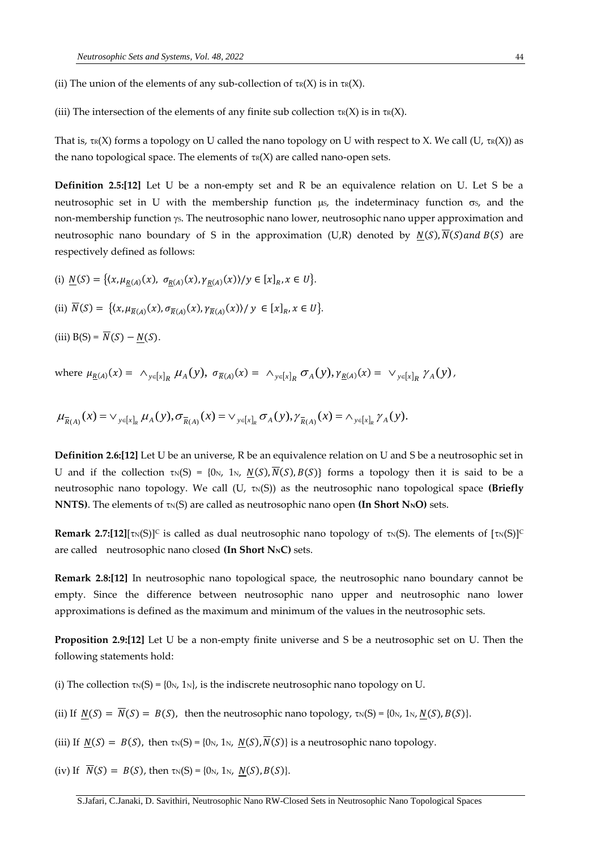(ii) The union of the elements of any sub-collection of  $\tau_R(X)$  is in  $\tau_R(X)$ .

(iii) The intersection of the elements of any finite sub collection  $\tau_R(X)$  is in  $\tau_R(X)$ .

That is,  $\text{TR}(X)$  forms a topology on U called the nano topology on U with respect to X. We call (U,  $\text{TR}(X)$ ) as the nano topological space. The elements of  $\tau$ <sub>R</sub>(X) are called nano-open sets.

**Definition 2.5:[12]** Let U be a non-empty set and R be an equivalence relation on U. Let S be a neutrosophic set in U with the membership function  $\mu s$ , the indeterminacy function  $\sigma s$ , and the non-membership function  $\gamma$ s. The neutrosophic nano lower, neutrosophic nano upper approximation and neutrosophic nano boundary of S in the approximation (U,R) denoted by  $N(S)$ ,  $N(S)$  and  $B(S)$  are respectively defined as follows:

- (i)  $N(S) = \{(x, \mu_{R(A)}(x), \sigma_{R(A)}(x), \gamma_{R(A)}(x)) / y \in [x]_R, x \in U\}.$
- (ii)  $\overline{N}(S) = \{ (x, \mu_{\overline{R}(A)}(x), \sigma_{\overline{R}(A)}(x), \gamma_{\overline{R}(A)}(x)) / y \in [x]_R, x \in U \}.$

(iii)  $B(S) = \overline{N}(S) - N(S)$ .

where 
$$
\mu_{\underline{R}(A)}(x) = \wedge_{y \in [x]_R} \mu_A(y), \sigma_{\overline{R}(A)}(x) = \wedge_{y \in [x]_R} \sigma_A(y), \gamma_{\underline{R}(A)}(x) = \vee_{y \in [x]_R} \gamma_A(y),
$$

$$
\mu_{\overline{R}(A)}(x) = \vee_{y \in [x]_R} \mu_A(y), \sigma_{\overline{R}(A)}(x) = \vee_{y \in [x]_R} \sigma_A(y), \gamma_{\overline{R}(A)}(x) = \wedge_{y \in [x]_R} \gamma_A(y).
$$

**Definition 2.6:[12]** Let U be an universe, R be an equivalence relation on U and S be a neutrosophic set in U and if the collection  $\tau_N(S) = \{0_N, 1_N, N(S), \overline{N}(S), B(S)\}\)$  forms a topology then it is said to be a neutrosophic nano topology. We call  $(U, \tau_N(S))$  as the neutrosophic nano topological space (Briefly **NNTS**). The elements of  $\tau_N(S)$  are called as neutrosophic nano open (In Short N<sub>N</sub>O) sets.

**Remark 2.7:[12]**[ $\tau_N(S)$ ]<sup>C</sup> is called as dual neutrosophic nano topology of  $\tau_N(S)$ . The elements of  $[\tau_N(S)]^C$ are called neutrosophic nano closed **(In Short NNC)** sets.

**Remark 2.8:[12]** In neutrosophic nano topological space, the neutrosophic nano boundary cannot be empty. Since the difference between neutrosophic nano upper and neutrosophic nano lower approximations is defined as the maximum and minimum of the values in the neutrosophic sets.

**Proposition 2.9:[12]** Let U be a non-empty finite universe and S be a neutrosophic set on U. Then the following statements hold:

(i) The collection  $\text{TN}(S) = \{0_N, 1_N\}$ , is the indiscrete neutrosophic nano topology on U.

(ii) If  $N(S) = \overline{N}(S) = B(S)$ , then the neutrosophic nano topology,  $\tau_N(S) = \{0_N, 1_N, N(S), B(S)\}.$ 

(iii) If  $N(S) = B(S)$ , then  $\tau_N(S) = \{0_N, 1_N, N(S), \overline{N}(S)\}\$ is a neutrosophic nano topology.

(iv) If  $\overline{N}(S) = B(S)$ , then  $\tau_N(S) = \{0_N, 1_N, N(S), B(S)\}.$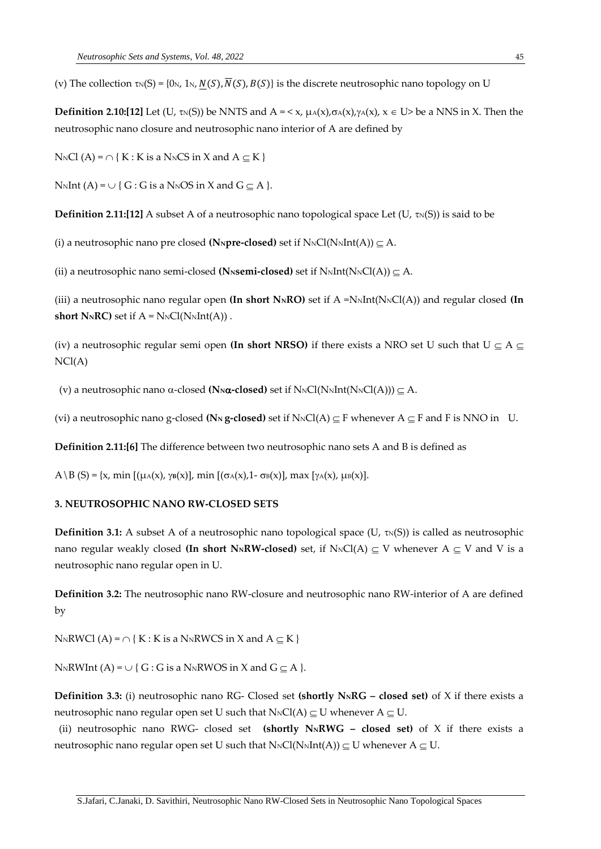(v) The collection  $\tau_N(S) = \{0_N, 1_N, N(S), \overline{N}(S), B(S)\}\$ is the discrete neutrosophic nano topology on U

**Definition 2.10:[12]** Let  $(U, \tau_N(S))$  be NNTS and  $A = \langle x, \mu_A(x), \sigma_A(x), \gamma_A(x), x \in U \rangle$  be a NNS in X. Then the neutrosophic nano closure and neutrosophic nano interior of A are defined by

 $N_NCl(A) = \bigcap \{ K : K \text{ is a } N_NCS \text{ in } X \text{ and } A \subseteq K \}$ 

NNInt (A) =  $\cup$  { G : G is a NNOS in X and G  $\subseteq$  A }.

**Definition 2.11:[12]** A subset A of a neutrosophic nano topological space Let  $(U, \tau_N(S))$  is said to be

(i) a neutrosophic nano pre closed (N<sub>N</sub> $\mathbf{p}$ **re-closed)** set if  $N_NCl(N_NInt(A)) \subset A$ .

(ii) a neutrosophic nano semi-closed (N<sub>N</sub>**semi-closed)** set if  $N_NInt(N_NCl(A)) \subset A$ .

(iii) a neutrosophic nano regular open **(In short N<sub>N</sub>RO)** set if  $A = N<sub>N</sub>Int(N<sub>N</sub>Cl(A))$  and regular closed **(In short N<sub>N</sub>RC**) set if  $A = N_NCl(N_NInt(A))$ .

(iv) a neutrosophic regular semi open **(In short NRSO)** if there exists a NRO set U such that  $U \subseteq A \subseteq$ NCl(A)

(v) a neutrosophic nano  $\alpha$ -closed (N<sub>N</sub> $\alpha$ -closed) set if N<sub>N</sub>Cl(N<sub>N</sub>Int(N<sub>N</sub>Cl(A)))  $\subseteq$  A.

(vi) a neutrosophic nano g-closed ( $\mathbb{N}_N$  **g-closed)** set if  $N_NCl(A) \subseteq F$  whenever  $A \subseteq F$  and F is NNO in U.

**Definition 2.11:[6]** The difference between two neutrosophic nano sets A and B is defined as

A \ B (S) = {x, min  $[(\mu(A)(x), \gamma(B)(x))]$ , min  $[(\sigma(A)(x), 1 - \sigma(B)(x))]$ , max  $[\gamma(A)(x), \mu(B)(x)]$ .

#### **3. NEUTROSOPHIC NANO RW-CLOSED SETS**

**Definition 3.1:** A subset A of a neutrosophic nano topological space (U,  $\tau_N(S)$ ) is called as neutrosophic nano regular weakly closed **(In short N<sub>N</sub>RW-closed)** set, if  $N_NCl(A) \subset V$  whenever  $A \subset V$  and V is a neutrosophic nano regular open in U.

**Definition 3.2:** The neutrosophic nano RW-closure and neutrosophic nano RW-interior of A are defined by

NNRWCl (A) =  $\cap$  { K : K is a NNRWCS in X and A  $\subseteq$  K }

N<sub>N</sub>RWInt (A) =  $\cup$  { G : G is a N<sub>N</sub>RWOS in X and G  $\subset$  A }.

**Definition 3.3:** (i) neutrosophic nano RG- Closed set **(shortly NNRG – closed set)** of X if there exists a neutrosophic nano regular open set U such that  $N_NCl(A) \subseteq U$  whenever  $A \subseteq U$ .

(ii) neutrosophic nano RWG- closed set **(shortly NNRWG – closed set)** of X if there exists a neutrosophic nano regular open set U such that  $N_NCl(N_NInt(A)) \subset U$  whenever  $A \subset U$ .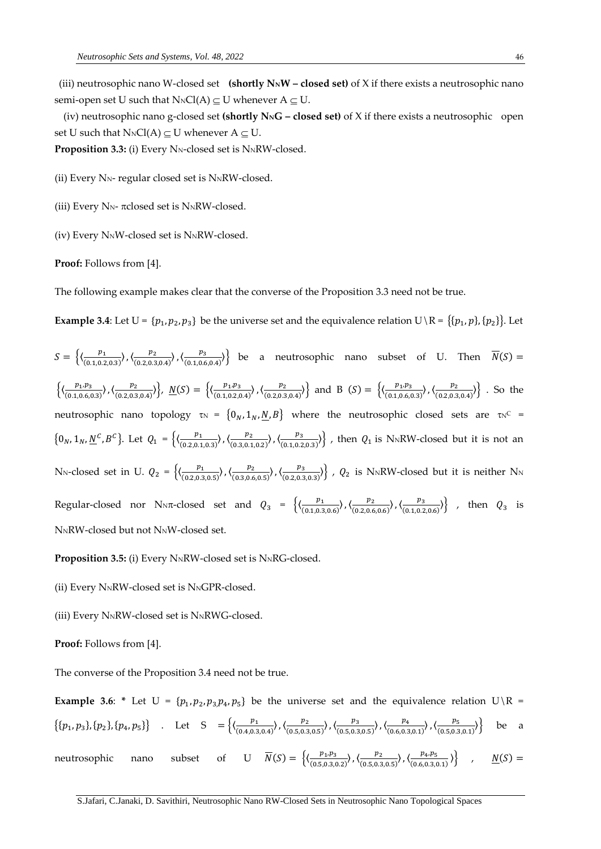(iii) neutrosophic nano W-closed set **(shortly NNW – closed set)** of X if there exists a neutrosophic nano semi-open set U such that  $N_NCl(A) \subseteq U$  whenever  $A \subseteq U$ .

 (iv) neutrosophic nano g-closed set **(shortly NNG – closed set)** of X if there exists a neutrosophic open set U such that  $N_NCl(A) \subset U$  whenever  $A \subset U$ .

**Proposition 3.3:** (i) Every N<sub>N</sub>-closed set is N<sub>N</sub>RW-closed.

(ii) Every  $N_N$ - regular closed set is  $N_NRW$ -closed.

(iii) Every  $N_N$ -  $\pi$ closed set is  $N_NRW$ -closed.

(iv) Every NNW-closed set is NNRW-closed.

**Proof:** Follows from [4].

The following example makes clear that the converse of the Proposition 3.3 need not be true.

**Example 3.4**: Let  $U = \{p_1, p_2, p_3\}$  be the universe set and the equivalence relation  $U \setminus R = \{(p_1, p), (p_2)\}\$ . Let

 $S = \left\{ \left( \frac{p_1}{(0.107)} \right)$ (0.1,0.2,0.3) 〉,〈 2 (0.2,0.3,0.4) 〉,〈 3  $\left\{\n \begin{array}{llll}\n \frac{\mu_3}{(0.1,0.6,0.4)}\n \end{array}\n\right\}$  be a neutrosophic nano subset of U. Then  $\overline{N}(S)$  =  $\left\{ \frac{p_1 p_3}{(0.1066)} \right\}$ (0.1,0.6,0.3) 〉,〈 2  $\frac{p_2}{(0.2,0.3,0.4)}\bigg\},\ \ \underline{N}(S)=\ \Big\{\big\langle \frac{p_1,p_3}{(0.1,0.2,0.4,0.4,0.4)}\big\rangle\Big\},\ \ \underline{N}(S)=\ \Big\{\big\langle \frac{p_3-p_4}{(0.1,0.4,0.4,0.4,0.4)}\big\rangle\Big\}.$ (0.1,0.2,0.4) 〉,〈 2  $\left\{\frac{p_2}{(0.2,0.3,0.4)}\right\}$  and B  $(S) = \left\{\left\langle \frac{p_1,p_3}{(0.1,0.6,0.4,0.4,0.4)}\right\rangle\right\}$ (0.1,0.6,0.3) 〉,〈 2  $\frac{p_2}{(0.2,0.3,0.4)}\}$ . So the neutrosophic nano topology  $\tau_N = \{0_N, 1_N, \underline{N}, B\}$  where the neutrosophic closed sets are  $\tau_N^C$  =  $\{0_N, 1_N, \underline{N}^c, B^c\}.$  Let  $Q_1 = \left\{\left(\frac{p_1}{(0.2.01)^2}\right)\right\}$  $\frac{p_1}{(0.2,0.1,0.3)})$ ,  $\left\langle \frac{p_2}{(0.3,0.1,0.3)}\right\rangle$  $\frac{p_2}{(0.3,0.1,0.2)})$ ,  $\langle \frac{p_3}{(0.1,0.2)} \rangle$  $\langle \frac{\mu_3}{(0.1,0.2,0.3)} \rangle$ , then  $Q_1$  is N<sub>N</sub>RW-closed but it is not an N<sub>N</sub>-closed set in U.  $Q_2 = \left\{ \left( \frac{p_1}{(0.2.05)} \right)$ (0.2,0.3,0.5) 〉,〈 2  $\frac{p_2}{(0.3,0.6,0.5)})$ ,  $\langle \frac{p_3}{(0.2,0.3,0.5,0.5)} \rangle$  $\langle \frac{\nu_3}{(0.2,0.3,0.3)} \rangle$ ,  $Q_2$  is NNRW-closed but it is neither NN Regular-closed nor NNT-closed set and  $Q_3 = \begin{cases} \left(\frac{p_1}{(0.105)}\right) & \text{if } p_2 = 0 \end{cases}$ (0.1,0.3,0.6) 〉,〈 2  $\frac{p_2}{(0.2,0.6,0.6)})$ ,  $\langle \frac{p_3}{(0.1,0.2)} \rangle$  $\left\{\frac{p_3}{(0.1, 0.2, 0.6)}\right\}$ , then  $Q_3$  is N<sub>N</sub>RW-closed but not N<sub>N</sub>W-closed set.

**Proposition 3.5:** (i) Every N<sub>N</sub>RW-closed set is N<sub>N</sub>RG-closed.

- (ii) Every N<sub>N</sub>RW-closed set is N<sub>N</sub>GPR-closed.
- (iii) Every NNRW-closed set is NNRWG-closed.

**Proof:** Follows from [4].

The converse of the Proposition 3.4 need not be true.

**Example 3.6:** \* Let  $U = \{p_1, p_2, p_3, p_4, p_5\}$  be the universe set and the equivalence relation  $U \setminus R$ 

$$
\{\{p_1, p_3\}, \{p_2\}, \{p_4, p_5\}\}\quad \text{Let } S = \left\{\left(\frac{p_1}{(0.4, 0.3, 0.4)}, \left(\frac{p_2}{(0.5, 0.3, 0.5)}, \left(\frac{p_3}{(0.5, 0.3, 0.5)}, \left(\frac{p_4}{(0.6, 0.3, 0.1)}, \left(\frac{p_5}{(0.5, 0.3, 0.1)}, \left(\frac{p_5}{(0.5, 0.3, 0.1)}, \left(\frac{p_6}{(0.5, 0.3, 0.1}, \frac{p_6}{(0.5, 0.3, 0.1}, \frac{p_7}{(0.5, 0.3, 0.1}, \frac{p_8}{(0.5, 0.3, 0.1}, \frac{p_9}{(0.5, 0.3, 0.1}, \frac{p_1}{(0.5, 0.3, 0.1}, \frac{p_2}{(0.5, 0.3, 0.1}, \frac{p_3}{(0.5, 0.3, 0.1}, \frac{p_4}{(0.5, 0.3, 0.1}, \frac{p_5}{(0.5, 0.3, 0.1}, \frac{p_6}{(0.5, 0.3, 0.1}, \frac{p_7}{(0.5, 0.3, 0.1}, \frac{p_8}{(0.5, 0.3, 0.1}, \frac{p_9}{(0.5, 0.3, 0.1}, \frac{p_9}{(0.5, 0.3, 0.1}, \frac{p_1}{(0.5, 0.3, 0.1}, \frac{p_2}{(0.5, 0.3, 0.1}, \frac{p_3}{(0.5, 0.3, 0.1}, \frac{p_4}{(0.5, 0.3, 0.1}, \frac{p_5}{(0.5, 0.3, 0.1}, \frac{p_6}{(0.5, 0.3, 0.1}, \frac{p_7}{(0.5, 0.3, 0.1}, \frac{p_8}{(0.5, 0.3, 0.1}, \frac{p_9}{(0.5, 0.3, 0.1}, \frac{p_1}{(0.5, 0.3, 0.1}, \frac{p_1}{(0.5, 0.3, 0.1},
$$

neutrosophic nano subset of U  $\overline{N}(S) = \left\{ \left\langle \frac{p_1 p_3}{(S+1)^2} \right\rangle \right\}$  $\frac{p_1, p_3}{(0.5, 0.3, 0.2)}$ ,  $\langle \frac{p_2}{(0.5, 0.3, 0.2)} \rangle$  $\frac{p_2}{(0.5,0.3,0.5)})$ ,  $\langle \frac{p_4,p_5}{(0.6,0.3,0.5)} \rangle$  $(0.6, 0.3, 0.1)$  $N(S) =$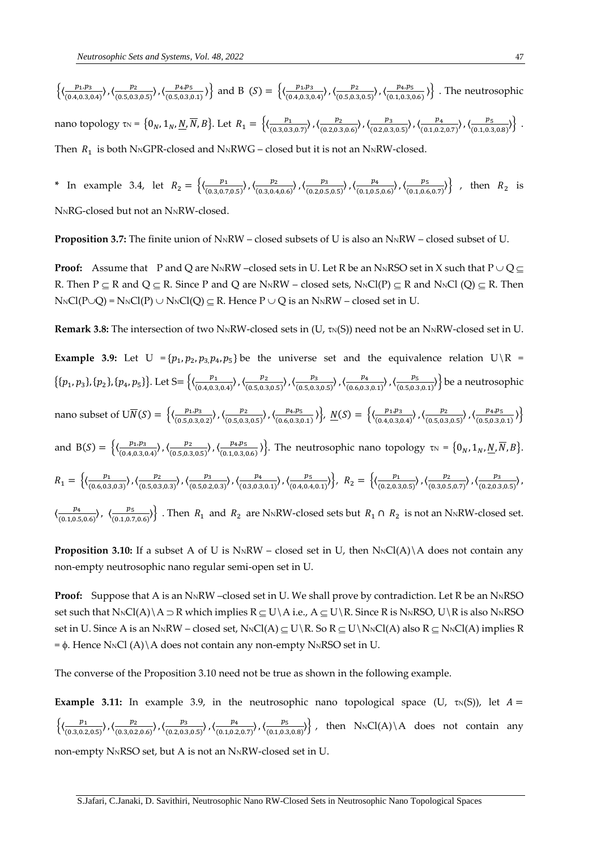$\left\{\left(\frac{p_1 p_3}{(0.183)^2}\right)\right\}$  $\frac{p_1, p_3}{(0.4, 0.3, 0.4)}\bigg\}, \left\langle \frac{p_2}{(0.5, 0.3, 0.4)}\right\rangle$  $\frac{p_2}{(0.5,0.3,0.5)}\rangle$ ,  $\langle \frac{p_4,p_5}{(0.5,0.3,0.5)}\rangle$  $\left\{\frac{p_4, p_5}{(0.5, 0.3, 0.1)}\right\}$  and B  $(S) = \left\{\left\langle \frac{p_1, p_3}{(0.4, 0.3, 0.1)}\right\rangle\right\}$  $\frac{p_1, p_3}{(0.4, 0.3, 0.4)}\bigg\}, \left\langle \frac{p_2}{(0.5, 0.3, 0.4)}\right\rangle$  $\frac{p_2}{(0.5,0.3,0.5)})$ ,  $\langle \frac{p_4,p_5}{(0.1,0.3,0.5)} \rangle$  $\left\{\frac{p_4,p_5}{(0.1,0.3,0.6)}\right\}$ . The neutrosophic nano topology  $\tau_N = \{0_N, 1_N, \underline{N}, \overline{N}, B\}$ . Let  $R_1 = \{(\frac{p_1}{(0.3.037)^2}, \frac{p_2}{(0.333)^2}, \frac{p_3}{(0.333)^2}\}$ (0.3,0.3,0.7) 〉,〈 2  $\frac{p_2}{(0.2, 0.3, 0.6)})$ ,  $\langle \frac{p_3}{(0.2, 0.3, 0.6)} \rangle$ (0.2,0.3,0.5) 〉,〈 4 (0.1,0.2,0.7) 〉,〈 5  $\frac{p_5}{(0.1, 0.3, 0.8)}\}$ . Then  $R_1$  is both N<sub>N</sub>GPR-closed and N<sub>N</sub>RWG – closed but it is not an N<sub>N</sub>RW-closed.

\* In example 3.4, let  $R_2 = \left\{ \left( \frac{p_1}{(0.3.07)} \right)$ (0.3,0.7,0.5) 〉,〈 2 (0.3,0.4,0.6) 〉,〈 3 (0.2,0.5,0.5) 〉,〈 4 (0.1,0.5,0.6) 〉,〈 5  $\left\{\frac{p_5}{(0.1, 0.6, 0.7)}\right\}$ , then  $R_2$  is

N<sub>N</sub>RG-closed but not an N<sub>N</sub>RW-closed.

**Proposition 3.7:** The finite union of N<sub>N</sub>RW – closed subsets of U is also an N<sub>N</sub>RW – closed subset of U.

**Proof:** Assume that P and Q are N<sub>N</sub>RW –closed sets in U. Let R be an N<sub>N</sub>RSO set in X such that  $P \cup Q \subseteq$ R. Then  $P \subseteq R$  and  $Q \subseteq R$ . Since P and Q are N<sub>N</sub>RW – closed sets, N<sub>N</sub>Cl(P)  $\subseteq R$  and N<sub>N</sub>Cl(Q)  $\subseteq R$ . Then  $N_NCl(P\cup Q) = N_NCl(P) \cup N_NCl(Q) \subseteq R$ . Hence  $P \cup Q$  is an  $N_NRW$  – closed set in U.

**Remark 3.8:** The intersection of two N<sub>N</sub>RW-closed sets in  $(U, \tau_N(S))$  need not be an N<sub>N</sub>RW-closed set in U.

**Example 3.9:** Let  $U = \{p_1, p_2, p_3, p_4, p_5\}$  be the universe set and the equivalence relation  $U \setminus R =$  $\{(p_1, p_3), (p_2), (p_4, p_5)\}\$ . Let S=  $\left\{\left(\frac{p_1}{(0.4, 0.3)}\right)\right\}$  $\frac{p_1}{(0.4, 0.3, 0.4)})$ ,  $\left\langle \frac{p_2}{(0.5, 0.3, 0.4)}\right\rangle$ (0.5,0.3,0.5) 〉,〈 3 (0.5,0.3,0.5) 〉,〈 4 (0.6,0.3,0.1) 〉,〈 5  $\left\{\frac{P_5}{(0.5,0.3,0.1)}\right\}$  be a neutrosophic nano subset of  $U\overline{N}(S) = \left\{ \left( \frac{p_1, p_3}{(0.5, 0.3)} \right) \right\}$  $\frac{p_1, p_3}{(0.5, 0.3, 0.2)}$ ,  $\langle \frac{p_2}{(0.5, 0.3, 0.2)} \rangle$  $\frac{p_2}{(0.5,0.3,0.5)}\rangle$ ,  $\langle \frac{p_4,p_5}{(0.6,0.3,0.5)}\rangle$  $\left\{\frac{p_4, p_5}{(0.6, 0.3, 0.1)}\right\}, \underline{N}(S) = \left\{\left\langle \frac{p_1, p_3}{(0.4, 0.3, 0.1, 0.3)}\right\rangle\right\}$  $\frac{p_1, p_3}{(0.4, 0.3, 0.4)}\right), \left(\frac{p_2}{(0.5, 0.3, 0.4)}\right)$  $\frac{p_2}{(0.5,0.3,0.5)})$ ,  $\langle \frac{p_4,p_5}{(0.5,0.3,0.5)} \rangle$  $\frac{p_{4}, p_{5}}{(0.5, 0.3, 0.1)}\}$ and B(S) =  $\left\{ \left( \frac{p_1, p_3}{(0.4, 0.3)} \right) \right\}$ (0.4,0.3,0.4) 〉,〈 2  $\frac{p_2}{(0.5,0.3,0.5)})$ ,  $\langle \frac{p_4,p_5}{(0.1,0.3,0.5)} \rangle$  $\{\frac{p_4,p_5}{(0.1,0.3,0.6)}\}$ . The neutrosophic nano topology  $\tau_N = \{0_N, 1_N, \underline{N}, \overline{N}, B\}$ .  $R_1 = \left\{ \left( \frac{p_1}{(0.6.03)} \right)$ (0.6,0.3,0.3) 〉,〈 2 (0.5,0.3,0.3) 〉,〈 3 (0.5,0.2,0.3) 〉,〈 4 (0.3,0.3,0.1) 〉,〈 5 (0.4,0.4,0.1) 〉}, <sup>2</sup> = {〈 1 (0.2,0.3,0.5) 〉,〈 2  $\frac{p_2}{(0.3, 0.5, 0.7)}\right), \left\langle \frac{p_3}{(0.2, 0.3, 0.5, 0.7)}\right\rangle$  $\frac{p_3}{(0.2, 0.3, 0.5)}$  $\left(\frac{p_4}{q_2+q_3-1}\right)$  $\frac{p_4}{(0.1, 0.5, 0.6)})$ ,  $\left\langle \frac{p_5}{(0.1, 0.7, 0.5, 0.6)} \right\rangle$  $\left\{\frac{\mu_{5}}{(0.1,0.7,0.6)}\right\}$  . Then  $R_1$  and  $R_2$  are N<sub>N</sub>RW-closed sets but  $R_1 \cap R_2$  is not an N<sub>N</sub>RW-closed set.

**Proposition 3.10:** If a subset A of U is N<sub>N</sub>RW – closed set in U, then N<sub>N</sub>Cl(A)\A does not contain any non-empty neutrosophic nano regular semi-open set in U.

**Proof:** Suppose that A is an N<sub>N</sub>RW –closed set in U. We shall prove by contradiction. Let R be an N<sub>N</sub>RSO set such that  $N_NCl(A)\setminus A \supset R$  which implies  $R \subseteq U\setminus A$  i.e.,  $A \subseteq U\setminus R$ . Since R is  $N_NRSO$ ,  $U\setminus R$  is also  $N_NRSO$ set in U. Since A is an N<sub>N</sub>RW – closed set, N<sub>N</sub>Cl(A)  $\subseteq$  U\R. So R  $\subseteq$  U\N<sub>N</sub>Cl(A) also R  $\subseteq$  N<sub>N</sub>Cl(A) implies R  $= \phi$ . Hence N<sub>N</sub>Cl (A) \ A does not contain any non-empty N<sub>N</sub>RSO set in U.

The converse of the Proposition 3.10 need not be true as shown in the following example.

**Example 3.11:** In example 3.9, in the neutrosophic nano topological space (U,  $\tau_N(S)$ ), let  $A =$  $\left\{\left(\frac{p_1}{(p_1)^2}\right)\right\}$ (0.3,0.2,0.5) 〉,〈 2 (0.3,0.2,0.6) 〉,〈 3 (0.2,0.3,0.5) 〉,〈 4 (0.1,0.2,0.7) 〉,〈 5  $\langle \frac{\nu_5}{(0.1,0.3,0.8)} \rangle$ , then  $N_NCl(A) \setminus A$  does not contain any non-empty N<sub>N</sub>RSO set, but A is not an N<sub>N</sub>RW-closed set in U.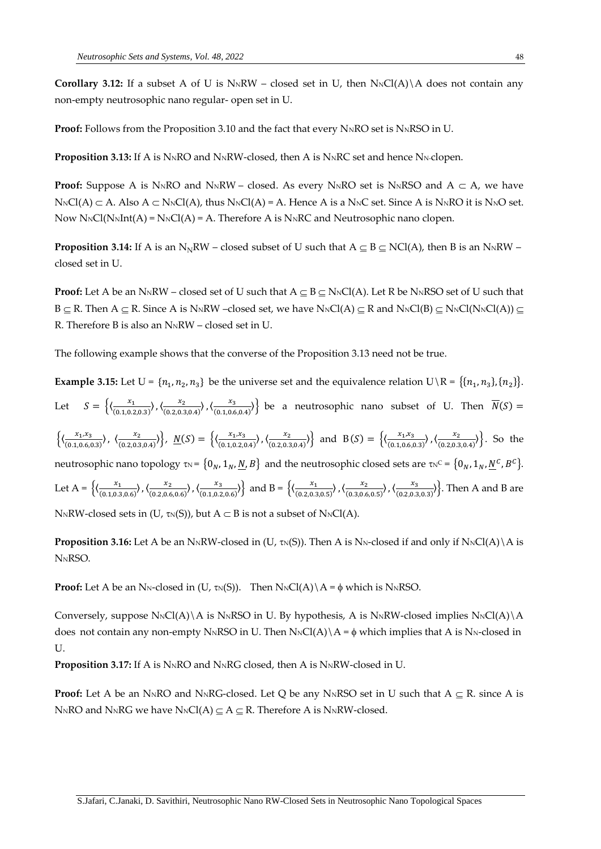**Corollary 3.12:** If a subset A of U is  $N_NRW$  – closed set in U, then  $N_NCl(A)\A$  does not contain any non-empty neutrosophic nano regular- open set in U.

**Proof:** Follows from the Proposition 3.10 and the fact that every N<sub>N</sub>RO set is N<sub>N</sub>RSO in U.

**Proposition 3.13:** If A is N<sub>N</sub>RO and N<sub>N</sub>RW-closed, then A is N<sub>N</sub>RC set and hence N<sub>N</sub>-clopen.

**Proof:** Suppose A is N<sub>N</sub>RO and N<sub>N</sub>RW – closed. As every N<sub>N</sub>RO set is N<sub>N</sub>RSO and A  $\subset$  A, we have  $N_{\text{N}}Cl(A) \subset A$ . Also  $A \subset N_{\text{N}}Cl(A)$ , thus  $N_{\text{N}}Cl(A) = A$ . Hence A is a  $N_{\text{N}}Cl$  set. Since A is  $N_{\text{N}}RO$  it is  $N_{\text{N}}O$  set. Now  $N_NCl(N_NInt(A) = N_NCl(A) = A$ . Therefore A is  $N_NRC$  and Neutrosophic nano clopen.

**Proposition 3.14:** If A is an N<sub>N</sub>RW – closed subset of U such that  $A \subseteq B \subseteq NC(A)$ , then B is an N<sub>N</sub>RW – closed set in U.

**Proof:** Let A be an N<sub>N</sub>RW – closed set of U such that  $A \subseteq B \subseteq N_NCl(A)$ . Let R be N<sub>N</sub>RSO set of U such that  $B \subseteq R$ . Then  $A \subseteq R$ . Since A is N<sub>N</sub>RW –closed set, we have N<sub>N</sub>Cl(A)  $\subseteq R$  and N<sub>N</sub>Cl(B)  $\subseteq$  N<sub>N</sub>Cl(N<sub>N</sub>Cl(A))  $\subseteq$ R. Therefore B is also an N<sub>N</sub>RW – closed set in U.

The following example shows that the converse of the Proposition 3.13 need not be true.

**Example 3.15:** Let  $U = \{n_1, n_2, n_3\}$  be the universe set and the equivalence relation  $U \setminus R = \{\{n_1, n_3\}, \{n_2\}\}\$ . Let  $S = \left\{ \left( \frac{x_1}{(0.1, 0.2, 0.3)}, \left( \frac{x_2}{(0.2, 0.3, 0.4)} \right), \left( \frac{x_3}{(0.1, 0.6, 0.4)} \right) \right\}$  be a neutrosophic nano subset of U. Then  $\overline{N}(S)$  =  $\left\{ \left\langle \frac{x_1, x_3}{(0.1, 0.6, 0.3)} \right\rangle, \left\langle \frac{x_2}{(0.2, 0.3, 0.4)} \right\rangle \right\}$ ,  $\underline{N}(S) = \left\{ \left\langle \frac{x_1, x_3}{(0.1, 0.2, 0.4)} \right\rangle \right\}$  and  $B(S) = \left\{ \left\langle \frac{x_1, x_3}{(0.1, 0.6, 0.3)} \right\rangle, \left\langle \frac{x_2}{(0.2, 0.3, 0.4)} \right\rangle \right\}$ . So the neutrosophic nano topology  $\tau_N = \{0_N, 1_N, N, B\}$  and the neutrosophic closed sets are  $\tau_N^C = \{0_N, 1_N, N^C, B^C\}$ . Let  $A = \left\{ \left( \frac{x_1}{(0.1,0.3,0.6)}, \left( \frac{x_2}{(0.2,0.6,0.6)} \right), \left( \frac{x_3}{(0.1,0.2,0.6)} \right) \right\}$  and  $B = \left\{ \left( \frac{x_1}{(0.2,0.3,0.5)}, \left( \frac{x_2}{(0.3,0.6,0.5)} \right), \left( \frac{x_3}{(0.2,0.3,0.3)} \right) \right\}$ . Then A and B are NNRW-closed sets in (U,  $\tau_N(S)$ ), but  $A \subset B$  is not a subset of NNCl(A).

**Proposition 3.16:** Let A be an N<sub>N</sub>RW-closed in (U,  $\tau_N(S)$ ). Then A is N<sub>N</sub>-closed if and only if N<sub>N</sub>Cl(A)\A is N<sub>N</sub>RSO.

**Proof:** Let A be an N<sub>N</sub>-closed in (U,  $\tau_N(S)$ ). Then  $N_NCl(A) \setminus A = \phi$  which is N<sub>N</sub>RSO.

Conversely, suppose  $N_NCl(A)\setminus A$  is  $N_NRSO$  in U. By hypothesis, A is  $N_NRV$ -closed implies  $N_NCl(A)\setminus A$ does not contain any non-empty N<sub>N</sub>RSO in U. Then  $N_NCl(A) \setminus A = \phi$  which implies that A is N<sub>N</sub>-closed in U.

**Proposition 3.17:** If A is N<sub>N</sub>RO and N<sub>N</sub>RG closed, then A is N<sub>N</sub>RW-closed in U.

**Proof:** Let A be an N<sub>N</sub>RO and N<sub>N</sub>RG-closed. Let Q be any N<sub>N</sub>RSO set in U such that  $A \subseteq R$ . since A is NNRO and NNRG we have NNCl(A)  $\subseteq$  A  $\subseteq$  R. Therefore A is NNRW-closed.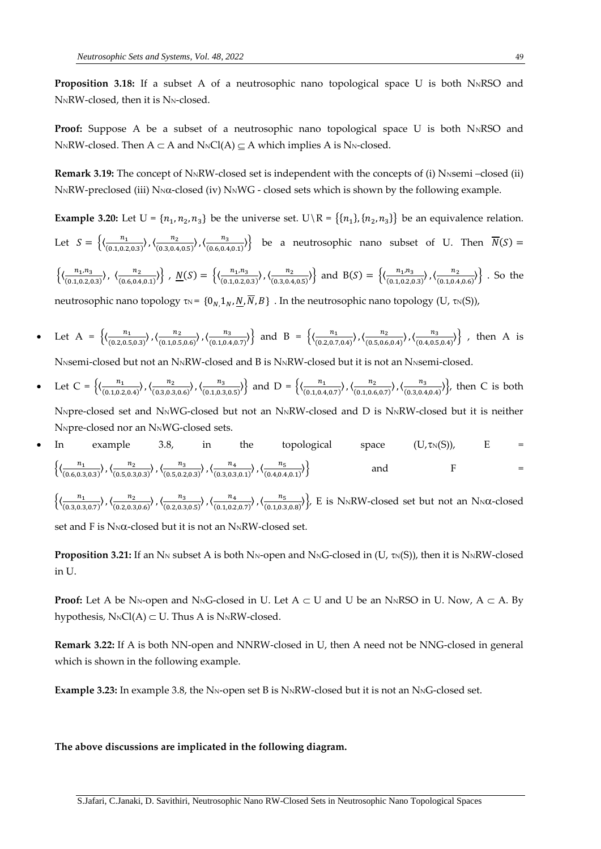**Proposition 3.18:** If a subset A of a neutrosophic nano topological space U is both N<sub>N</sub>RSO and NNRW-closed, then it is NN-closed.

**Proof:** Suppose A be a subset of a neutrosophic nano topological space U is both  $N<sub>N</sub>RSO$  and N<sub>N</sub>RW-closed. Then  $A \subset A$  and  $N_NCl(A) \subseteq A$  which implies A is N<sub>N</sub>-closed.

**Remark 3.19:** The concept of N<sub>N</sub>RW-closed set is independent with the concepts of (i) N<sub>NS</sub>emi –closed (ii)  $N_NRW$ -preclosed (iii)  $N_N\alpha$ -closed (iv)  $N_NWG$  - closed sets which is shown by the following example.

**Example 3.20:** Let  $U = \{n_1, n_2, n_3\}$  be the universe set.  $U \setminus R = \{\{n_1\}, \{n_2, n_3\}\}$  be an equivalence relation. Let  $S = \left\{ \left( \frac{n_1}{(0.107)} \right) \right\}$ (0.1,0.2,0.3) 〉,〈 2  $\frac{n_2}{(0.3,0.4,0.5)}$ ,  $\langle \frac{n_3}{(0.6,0.4,0.5)} \rangle$  $\left\{\frac{n_3}{(0.6,0.4,0.1)}\right\}$  be a neutrosophic nano subset of U. Then  $N(S)$  =  $\left\{\left(\frac{n_1, n_3}{(0, 1, 0, 3, 6)\right\}$ (0.1,0.2,0.3) 〉, 〈 2 (0.6,0.4,0.1) 〉} , () = {〈 1,3  $\frac{n_1, n_3}{(0.1, 0.2, 0.3)}$ ,  $\langle \frac{n_2}{(0.3, 0.4, 0.3, 0.4, 0.3, 0.4, 0.3, 0.4, 0.3, 0.4, 0.3, 0.4, 0.3, 0.4, 0.3, 0.4, 0.3, 0.4, 0.3, 0.4, 0.3, 0.4, 0.3, 0.4, 0.3, 0.4, 0.4, 0.5, 0.5, 0.4, 0.4, 0.5, 0.5, 0.4, 0.5, 0.5, 0.$  $\left\{\frac{n_2}{(0.3,0.4,0.5)}\right\}$  and B(S) =  $\left\{\left\langle \frac{n_1, n_3}{(0.1,0.2,0.4,0.5)}\right\rangle \right\}$ (0.1,0.2,0.3) 〉,〈 2  $\frac{n_2}{(0.1,0.4,0.6)})$ . So the neutrosophic nano topology  $\tau_N = \{0_N, 1_N, N, \overline{N}, B\}$ . In the neutrosophic nano topology (U,  $\tau_N(S)$ ),

- Let A =  $\left\{ \left( \frac{n_1}{(0.205)} \right) \right\}$ (0.2,0.5,0.3) 〉,〈 2 (0.1,0.5,0.6) 〉,〈 3  $\frac{n_3}{(0.1,0.4,0.7)})$  and B =  $\left\{ \left( \frac{n_1}{(0.2,0.7,0.7)} \right) \right\}$ (0.2,0.7,0.4) 〉,〈 2 (0.5,0.6,0.4) 〉,〈 3  $\frac{n_3}{(0.4, 0.5, 0.4)}\}$ , then A is N<sub>NSemi</sub>-closed but not an N<sub>N</sub>RW-closed and B is N<sub>N</sub>RW-closed but it is not an N<sub>NSemi</sub>-closed.
- Let C =  $\left\{ \left( \frac{n_1}{(0.103)} \right)$ (0.1,0.2,0.4) 〉,〈 2  $\frac{n_2}{(0.3,0.3,0.6)}\}, \left\langle \frac{n_3}{(0.1,0.3,0.6,0.3)}\right\rangle$ (0.1,0.3,0.5) 〉} and D = {〈 1  $\frac{n_1}{(0.1, 0.4, 0.7)}\right), \left\langle \frac{n_2}{(0.1, 0.6, 0.7)}\right\rangle$ (0.1,0.6,0.7) 〉,〈 3  $\frac{n_3}{(0.3,0.4,0.4)})$ , then C is both

NNpre-closed set and NNWG-closed but not an NNRW-closed and D is NNRW-closed but it is neither NNpre-closed nor an NNWG-closed sets.

In example 3.8, in the topological space  $(U, \tau_N(S))$ , E =  $\left\{\left(\frac{n_1}{(0.68a)^2}\right)\right\}$ (0.6,0.3,0.3) 〉,〈 2 (0.5,0.3,0.3) 〉,〈 3 (0.5,0.2,0.3) 〉,〈 4 (0.3,0.3,0.1) 〉,〈 5  $(0.4, 0.4, 0.1)$  $\rangle$  and F =

 $\left\{\left(\frac{n_1}{(n_1, n_2)}\right)\right\}$ (0.3,0.3,0.7) 〉,〈 2  $\frac{n_2}{(0.2,0.3,0.6)}\big), \big(\frac{n_3}{(0.2,0.3,0.6,0)}\big)$ (0.2,0.3,0.5) 〉,〈 4 (0.1,0.2,0.7) 〉,〈 5  $\left\{\frac{n_{5}}{(0.1,0.3,0.8)}\right\}$ , E is N<sub>N</sub>RW-closed set but not an N<sub>N</sub> $\alpha$ -closed

set and F is  $N_N\alpha$ -closed but it is not an  $N_NRW$ -closed set.

**Proposition 3.21:** If an N<sub>N</sub> subset A is both N<sub>N</sub>-open and N<sub>N</sub>G-closed in (U,  $\tau$ <sub>N</sub>(S)), then it is N<sub>N</sub>RW-closed in U.

**Proof:** Let A be N<sub>N</sub>-open and N<sub>N</sub>G-closed in U. Let  $A \subset U$  and U be an N<sub>N</sub>RSO in U. Now,  $A \subset A$ . By hypothesis,  $N_NCl(A) \subset U$ . Thus A is  $N_NRW$ -closed.

**Remark 3.22:** If A is both NN-open and NNRW-closed in U, then A need not be NNG-closed in general which is shown in the following example.

**Example 3.23:** In example 3.8, the N<sub>N</sub>-open set B is N<sub>N</sub>RW-closed but it is not an N<sub>N</sub>G-closed set.

#### **The above discussions are implicated in the following diagram.**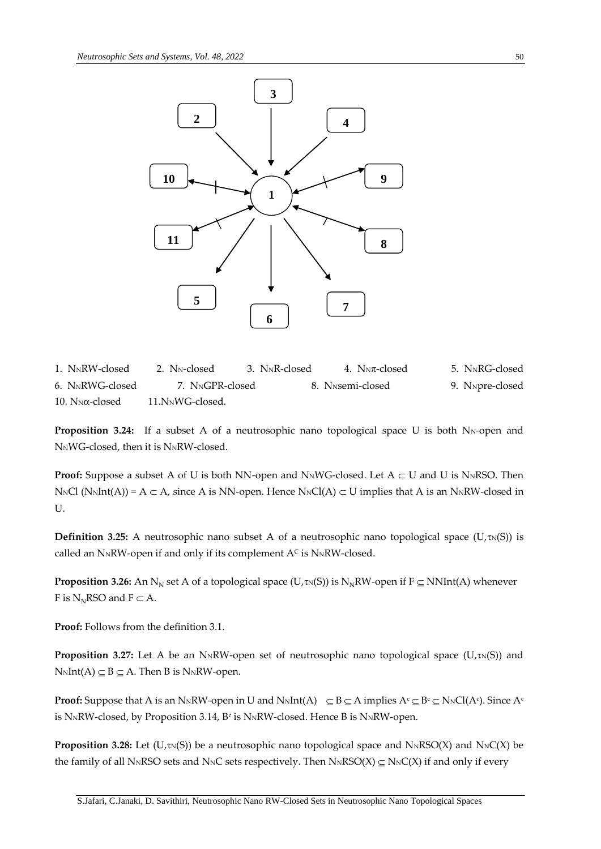

1. NNRW-closed 2. NN-closed 3. NNR-closed 4. NNT-closed 5. NNRG-closed 6. NNRWG-closed 7. NNGPR-closed 8. NNsemi-closed 9. NNpre-closed  $10. N<sub>N</sub>\alpha$ -closed  $11. N<sub>N</sub>\alpha$ -closed.

**Proposition 3.24:** If a subset A of a neutrosophic nano topological space U is both N<sub>N</sub>-open and NNWG-closed, then it is NNRW-closed.

**Proof:** Suppose a subset A of U is both NN-open and N<sub>N</sub>WG-closed. Let  $A \subset U$  and U is N<sub>N</sub>RSO. Then  $N_{\rm N}Cl$  ( $N_{\rm N}Int(A)$ ) = A  $\subset$  A, since A is NN-open. Hence  $N_{\rm N}Cl(A) \subset U$  implies that A is an  $N_{\rm N}RW$ -closed in U.

**Definition 3.25:** A neutrosophic nano subset A of a neutrosophic nano topological space (U, $\tau_N(S)$ ) is called an NNRW-open if and only if its complement  $A<sup>c</sup>$  is NNRW-closed.

**Proposition 3.26:** An  $N_N$  set A of a topological space (U, $\tau_N(S)$ ) is  $N_NRW$ -open if  $F \subseteq NNInt(A)$  whenever F is  $N_N$ RSO and  $F \subset A$ .

**Proof:** Follows from the definition 3.1.

**Proposition 3.27:** Let A be an N<sub>N</sub>RW-open set of neutrosophic nano topological space (U, $\tau_N(S)$ ) and  $N_NInt(A) \subseteq B \subseteq A$ . Then B is N<sub>N</sub>RW-open.

**Proof:** Suppose that A is an N<sub>N</sub>RW-open in U and N<sub>N</sub>Int(A)  $\subseteq B \subseteq A$  implies  $A^c \subseteq B^c \subseteq N_0C(A^c)$ . Since  $A^c$ is NNRW-closed, by Proposition 3.14,  $B<sup>c</sup>$  is NNRW-closed. Hence B is NNRW-open.

**Proposition 3.28:** Let  $(U, \text{TN}(S))$  be a neutrosophic nano topological space and  $N_NRSO(X)$  and  $N_NC(X)$  be the family of all N<sub>N</sub>RSO sets and N<sub>N</sub>C sets respectively. Then N<sub>N</sub>RSO(X)  $\subseteq$  N<sub>N</sub>C(X) if and only if every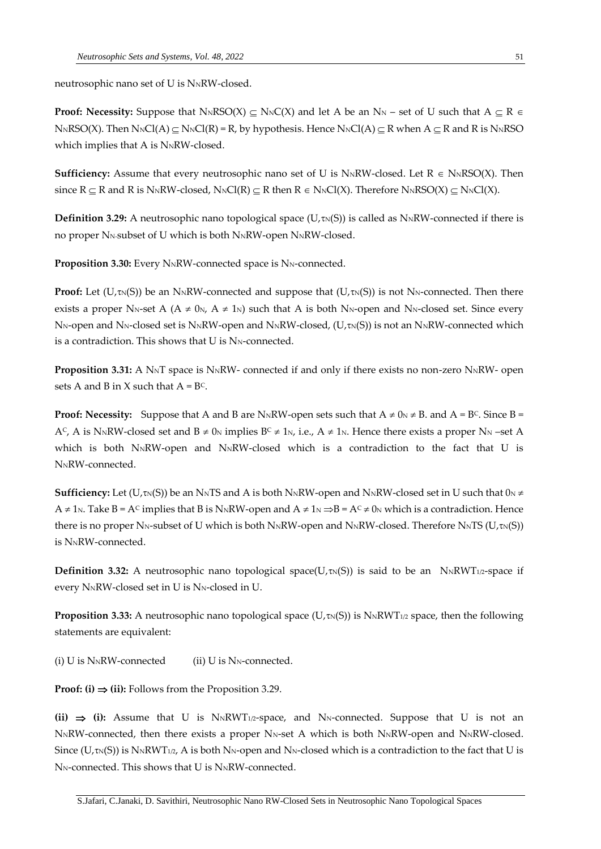neutrosophic nano set of U is NNRW-closed.

**Proof:** Necessity: Suppose that  $N_NRSO(X) \subseteq N_NC(X)$  and let A be an  $N_N$  – set of U such that  $A \subseteq R \in$  $N_{\rm N}$ RSO(X). Then  $N_{\rm N}$ Cl(A)  $\subset$  N<sub>N</sub>Cl(R) = R, by hypothesis. Hence  $N_{\rm N}$ Cl(A)  $\subset$  R when A  $\subset$  R and R is N<sub>N</sub>RSO which implies that A is NNRW-closed.

**Sufficiency:** Assume that every neutrosophic nano set of U is N<sub>N</sub>RW-closed. Let  $R \in N_NRSO(X)$ . Then since  $R \subseteq R$  and R is NNRW-closed, NNCl(R)  $\subseteq R$  then  $R \in N_NCl(X)$ . Therefore NNRSO(X)  $\subseteq N_NCl(X)$ .

**Definition 3.29:** A neutrosophic nano topological space ( $U, \tau_N(S)$ ) is called as N<sub>N</sub>RW-connected if there is no proper N<sub>N-</sub>subset of U which is both N<sub>N</sub>RW-open N<sub>N</sub>RW-closed.

**Proposition 3.30:** Every N<sub>N</sub>RW-connected space is N<sub>N</sub>-connected.

**Proof:** Let  $(U, \tau_N(S))$  be an N<sub>N</sub>RW-connected and suppose that  $(U, \tau_N(S))$  is not N<sub>N</sub>-connected. Then there exists a proper N<sub>N</sub>-set A ( $A \neq 0$ <sub>N</sub>,  $A \neq 1$ <sub>N</sub>) such that A is both N<sub>N</sub>-open and N<sub>N</sub>-closed set. Since every N<sub>N</sub>-open and N<sub>N</sub>-closed set is N<sub>N</sub>RW-open and N<sub>N</sub>RW-closed, (U, $\tau$ <sub>N</sub>(S)) is not an N<sub>N</sub>RW-connected which is a contradiction. This shows that  $U$  is  $N_N$ -connected.

**Proposition 3.31:** A N<sub>N</sub>T space is N<sub>N</sub>RW- connected if and only if there exists no non-zero N<sub>N</sub>RW- open sets A and B in X such that  $A = BC$ .

**Proof: Necessity:** Suppose that A and B are N<sub>N</sub>RW-open sets such that  $A \neq 0$ <sub>N</sub>  $\neq$  B. and  $A = B^C$ . Since B = A<sup>C</sup>, A is N<sub>N</sub>RW-closed set and B  $\neq$  0<sub>N</sub> implies B<sup>C</sup>  $\neq$  1<sub>N</sub>, i.e., A  $\neq$  1<sub>N</sub>. Hence there exists a proper N<sub>N</sub> –set A which is both NNRW-open and NNRW-closed which is a contradiction to the fact that U is NNRW-connected.

**Sufficiency:** Let (U<sub>,TN</sub>(S)) be an N<sub>N</sub>TS and A is both N<sub>N</sub>RW-open and N<sub>N</sub>RW-closed set in U such that 0<sub>N</sub>  $\neq$  $A \neq 1$ N. Take B = A<sup>c</sup> implies that B is NNRW-open and  $A \neq 1$ N  $\Rightarrow$  B = A<sup>c</sup>  $\neq$  0N which is a contradiction. Hence there is no proper N<sub>N</sub>-subset of U which is both N<sub>N</sub>RW-open and N<sub>N</sub>RW-closed. Therefore N<sub>N</sub>TS (U<sub>/TN</sub>(S))  $i$ s N $N$ RW-connected.

**Definition 3.32:** A neutrosophic nano topological space( $U, \tau_N(S)$ ) is said to be an N<sub>N</sub>RWT<sub>1/2</sub>-space if every NNRW-closed set in U is NN-closed in U.

**Proposition 3.33:** A neutrosophic nano topological space ( $U, \tau_N(S)$ ) is  $N_N RWT_{1/2}$  space, then the following statements are equivalent:

(i)  $U$  is N<sub>N</sub>RW-connected (ii)  $U$  is N<sub>N</sub>-connected.

**Proof:** (i)  $\Rightarrow$  (ii): Follows from the Proposition 3.29.

(ii)  $\Rightarrow$  (i): Assume that U is  $N \times N \times T_{1/2}$ -space, and  $N \times$ -connected. Suppose that U is not an N<sub>N</sub>RW-connected, then there exists a proper N<sub>N</sub>-set A which is both N<sub>N</sub>RW-open and N<sub>N</sub>RW-closed. Since ( $U$ , $\tau_N(S)$ ) is  $N_NRWT_{1/2}$ , A is both  $N_N$ -open and  $N_N$ -closed which is a contradiction to the fact that U is N<sub>N</sub>-connected. This shows that U is N<sub>N</sub>RW-connected.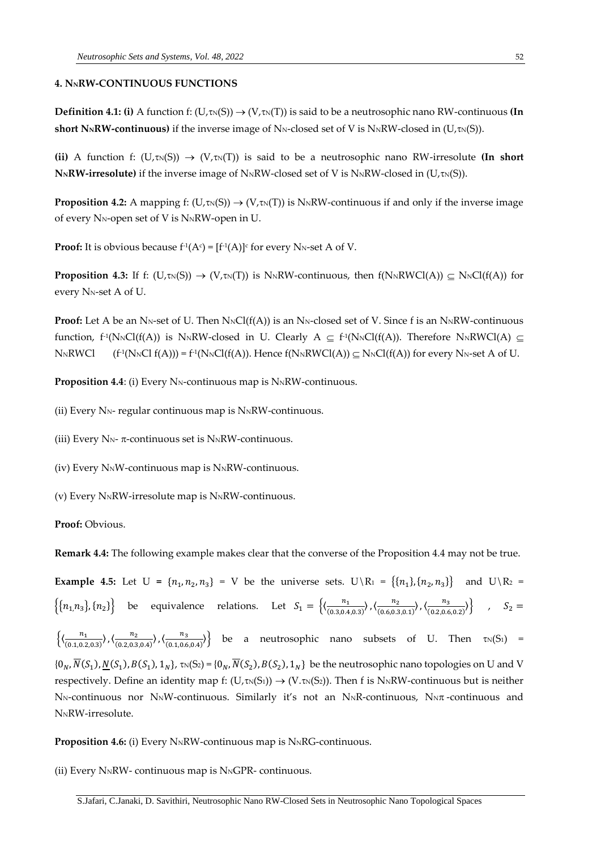### **4. NNRW-CONTINUOUS FUNCTIONS**

**Definition 4.1: (i)** A function f:  $(U, \text{TN}(S)) \rightarrow (V, \text{TN}(T))$  is said to be a neutrosophic nano RW-continuous (In **short N<sub>N</sub>RW-continuous)** if the inverse image of N<sub>N</sub>-closed set of V is N<sub>N</sub>RW-closed in (U, $\tau_N(S)$ ).

**(ii)** A function f:  $(U, \text{TN}(S)) \rightarrow (V, \text{TN}(T))$  is said to be a neutrosophic nano RW-irresolute **(In short**)  $N_NRW\text{-}irresolute)$  if the inverse image of  $N_NRW\text{-}closed$  set of V is  $N_NRW\text{-}closed$  in (U, $\tau_N(S)$ ).

**Proposition 4.2:** A mapping f:  $(U,\tau_N(S)) \to (V,\tau_N(T))$  is N<sub>N</sub>RW-continuous if and only if the inverse image of every N<sub>N</sub>-open set of V is N<sub>N</sub>RW-open in U.

**Proof:** It is obvious because f<sup>-1</sup>(A $\circ$ ) = [f<sup>-1</sup>(A)] $\circ$  for every N<sub>N</sub>-set A of V.

**Proposition 4.3:** If f:  $(U, \text{TN}(S)) \rightarrow (V, \text{TN}(T))$  is N<sub>N</sub>RW-continuous, then  $f(N \text{NRWCl}(A)) \subseteq \text{NNCl}(f(A))$  for every N<sub>N-Set</sub> A of U.

**Proof:** Let A be an N<sub>N</sub>-set of U. Then  $N_NCl(f(A))$  is an N<sub>N</sub>-closed set of V. Since f is an  $N_NRW$ -continuous function, f<sup>-1</sup>(N<sub>N</sub>Cl(f(A)) is N<sub>N</sub>RW-closed in U. Clearly  $A \subseteq f$ <sup>-1</sup>(N<sub>N</sub>Cl(f(A)). Therefore N<sub>N</sub>RWCl(A)  $\subseteq$ N<sub>N</sub>RWCl  $(N_NCl f(A))) = f^1(N_NCl(f(A))$ . Hence  $f(N_NRWCI(A)) \subseteq N_NCl(f(A))$  for every  $N_N$ -set A of U.

**Proposition 4.4**: (i) Every N<sub>N</sub>-continuous map is N<sub>N</sub>RW-continuous.

(ii) Every  $N_N$ - regular continuous map is  $N_NRW$ -continuous.

(iii) Every N<sub>N</sub>- $\pi$ -continuous set is N<sub>N</sub>RW-continuous.

(iv) Every NNW-continuous map is NNRW-continuous.

(v) Every  $N_NRW$ -irresolute map is  $N_NRW$ -continuous.

**Proof:** Obvious.

**Remark 4.4:** The following example makes clear that the converse of the Proposition 4.4 may not be true.

**Example 4.5:** Let  $U = \{n_1, n_2, n_3\} = V$  be the universe sets.  $U \setminus R_1 = \{\{n_1\}, \{n_2, n_3\}\}$  and  $U \setminus R_2 =$  $\left\{\{n_1, n_3\}, \{n_2\}\right\}$  be equivalence relations. Let  $S_1 = \left\{\left(\frac{n_1}{(0.304)}\right)$  $\frac{n_1}{(0.3,0.4,0.3)}\right), \left\langle \frac{n_2}{(0.6,0.3,0.4,0.3)}\right\rangle$ (0.6,0.3,0.1) 〉,〈 3  $\left\{\frac{n_3}{(0.2, 0.6, 0.2)}\right\}$ ,  $S_2 =$ 

 $\left\{\frac{n_1}{(0.107)}\right\}$ (0.1,0.2,0.3) 〉,〈 2 (0.2,0.3,0.4) 〉,〈 3  $\left\{\n\begin{array}{cccccc}\n\frac{n_3}{(0.1,0.6,0.4)}\n\end{array}\n\right\}$  be a neutrosophic nano subsets of U. Then  $\tau_N(S_1)$  =  $\{0_N, N(S_1), N(S_1), N(S_1), 1_N\}$ ,  $\tau_N(S_2) = \{0_N, N(S_2), N(S_2), 1_N\}$  be the neutrosophic nano topologies on U and V respectively. Define an identity map f:  $(U, \tau_N(S_1)) \to (V, \tau_N(S_2))$ . Then f is N<sub>N</sub>RW-continuous but is neither  $N_N$ -continuous nor  $N_N$ W-continuous. Similarly it's not an  $N_NR$ -continuous,  $N_N\pi$ -continuous and N<sub>N</sub>RW-irresolute.

**Proposition 4.6:** (i) Every N<sub>N</sub>RW-continuous map is N<sub>N</sub>RG-continuous.

(ii) Every  $N_NRW$ - continuous map is  $N_NGPR$ - continuous.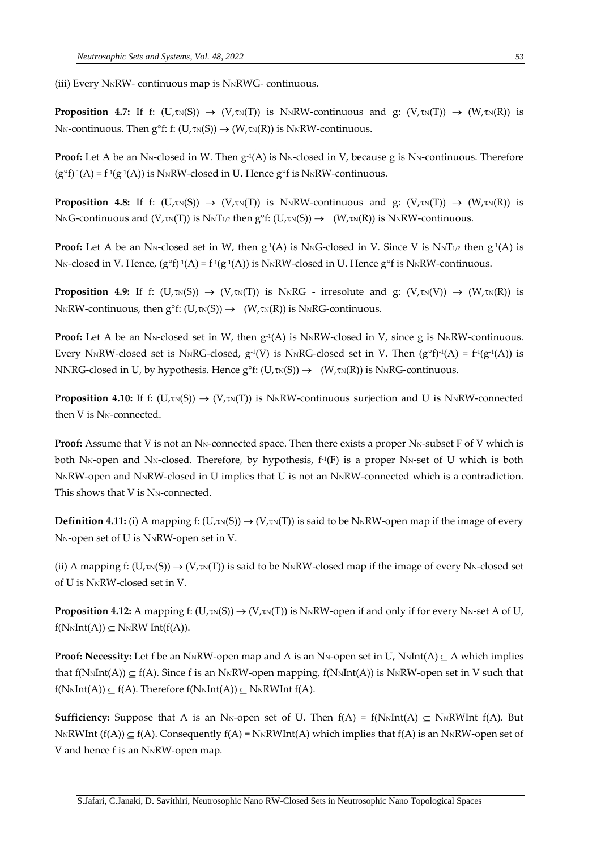(iii) Every  $N_NRW$ - continuous map is  $N_NRWG$ - continuous.

**Proposition 4.7:** If f:  $(U,\tau_N(S)) \to (V,\tau_N(T))$  is N<sub>N</sub>RW-continuous and g:  $(V,\tau_N(T)) \to (W,\tau_N(R))$  is N<sub>N</sub>-continuous. Then  $g^{\circ}f$ : f: (U, $\tau_N(S)$ )  $\rightarrow$  (W, $\tau_N(R)$ ) is N<sub>N</sub>RW-continuous.

**Proof:** Let A be an N<sub>N</sub>-closed in W. Then  $g^{\text{-}1}(A)$  is N<sub>N</sub>-closed in V, because g is N<sub>N</sub>-continuous. Therefore  $(g^{\circ}f)^{-1}(A) = f^{\circ}(g^{-1}(A))$  is N<sub>N</sub>RW-closed in U. Hence  $g^{\circ}f$  is N<sub>N</sub>RW-continuous.

**Proposition 4.8:** If f:  $(U,\tau_N(S)) \to (V,\tau_N(T))$  is N<sub>N</sub>RW-continuous and g:  $(V,\tau_N(T)) \to (W,\tau_N(R))$  is  $N_{N}G$ -continuous and  $(V, \text{tn}(T))$  is  $N_{N}T_{1/2}$  then  $g^{\circ}f: (U, \text{tn}(S)) \rightarrow (W, \text{tn}(R))$  is  $N_{N}RW$ -continuous.

**Proof:** Let A be an N<sub>N</sub>-closed set in W, then  $g^{-1}(A)$  is N<sub>N</sub>G-closed in V. Since V is N<sub>N</sub>T<sub>1/2</sub> then  $g^{-1}(A)$  is N<sub>N</sub>-closed in V. Hence,  $(g^of)^{-1}(A) = f^{-1}(g^{-1}(A))$  is N<sub>N</sub>RW-closed in U. Hence  $g^of$  is N<sub>N</sub>RW-continuous.

**Proposition 4.9:** If f:  $(U,\tau_N(S)) \to (V,\tau_N(T))$  is N<sub>N</sub>RG - irresolute and g:  $(V,\tau_N(V)) \to (W,\tau_N(R))$  is  $N\ltimes N\ltimes N$  continuous, then  $g^{\circ}f: (U,\tau\ltimes (S)) \to (W,\tau\ltimes (R))$  is  $N\ltimes N\ltimes G$  continuous.

**Proof:** Let A be an N<sub>N</sub>-closed set in W, then  $g^{-1}(A)$  is N<sub>N</sub>RW-closed in V, since g is N<sub>N</sub>RW-continuous. Every N<sub>N</sub>RW-closed set is N<sub>N</sub>RG-closed,  $g^{-1}(V)$  is N<sub>N</sub>RG-closed set in V. Then  $(g^{\circ}f)^{-1}(A) = f^{-1}(g^{-1}(A))$  is NNRG-closed in U, by hypothesis. Hence  $g^{\circ}f: (U,\tau_N(S)) \to (W,\tau_N(R))$  is N<sub>N</sub>RG-continuous.

**Proposition 4.10:** If f: (U, $\tau_N(S) \rightarrow (V, \tau_N(T))$  is N<sub>N</sub>RW-continuous surjection and U is N<sub>N</sub>RW-connected then  $V$  is  $N_N$ -connected.

**Proof:** Assume that V is not an N<sub>N</sub>-connected space. Then there exists a proper N<sub>N</sub>-subset F of V which is both N<sub>N</sub>-open and N<sub>N</sub>-closed. Therefore, by hypothesis,  $f^1(F)$  is a proper N<sub>N</sub>-set of U which is both NNRW-open and NNRW-closed in U implies that U is not an NNRW-connected which is a contradiction. This shows that  $V$  is  $N_N$ -connected.

**Definition 4.11:** (i) A mapping f:  $(U,\tau_N(S)) \to (V,\tau_N(T))$  is said to be N<sub>N</sub>RW-open map if the image of every N<sub>N</sub>-open set of U is N<sub>N</sub>RW-open set in V.

(ii) A mapping f:  $(U,\tau_N(S)) \to (V,\tau_N(T))$  is said to be N<sub>N</sub>RW-closed map if the image of every N<sub>N</sub>-closed set of U is NNRW-closed set in V.

**Proposition 4.12:** A mapping f:  $(U, \text{TN}(S)) \rightarrow (V, \text{TN}(T))$  is N<sub>N</sub>RW-open if and only if for every N<sub>N</sub>-set A of U,  $f(N_NInt(A)) \subseteq N_NRW Int(f(A)).$ 

**Proof: Necessity:** Let f be an N<sub>N</sub>RW-open map and A is an N<sub>N</sub>-open set in U, N<sub>N</sub>Int(A)  $\subseteq$  A which implies that  $f(N_NInt(A)) \subseteq f(A)$ . Since f is an N<sub>N</sub>RW-open mapping,  $f(N_NInt(A))$  is N<sub>N</sub>RW-open set in V such that  $f(N_NInt(A)) \subseteq f(A)$ . Therefore  $f(N_NInt(A)) \subseteq N_NRWInt(f(A))$ .

**Sufficiency:** Suppose that A is an N<sub>N</sub>-open set of U. Then  $f(A) = f(N_M Int(A)) \subseteq N_N R W Int f(A)$ . But  $N_NRWInt(f(A)) \subset f(A)$ . Consequently  $f(A) = N_NRWInt(A)$  which implies that  $f(A)$  is an  $N_NRW$ -open set of V and hence f is an N<sub>N</sub>RW-open map.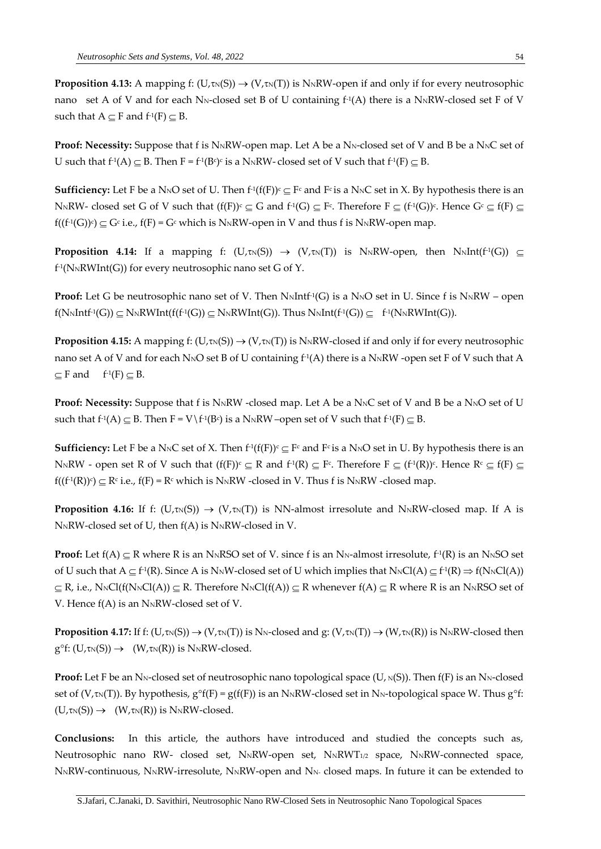**Proposition 4.13:** A mapping f:  $(U,\tau_N(S)) \to (V,\tau_N(T))$  is N<sub>N</sub>RW-open if and only if for every neutrosophic nano  $\,$  set A of V and for each N<sub>N</sub>-closed set B of U containing f<sup>-1</sup>(A) there is a N<sub>N</sub>RW-closed set F of V such that  $A \subseteq F$  and  $f^{-1}(F) \subseteq B$ .

**Proof:** Necessity: Suppose that f is N<sub>N</sub>RW-open map. Let A be a N<sub>N</sub>-closed set of V and B be a N<sub>N</sub>C set of U such that  $f^1(A) \subseteq B$ . Then  $F = f^1(B^c)$  is a N<sub>N</sub>RW-closed set of V such that  $f^1(F) \subseteq B$ .

**Sufficiency:** Let F be a N<sub>N</sub>O set of U. Then  $f^1(f(F))^c \subseteq F^c$  and  $F^c$  is a N<sub>N</sub>C set in X. By hypothesis there is an N<sub>N</sub>RW- closed set G of V such that  $(f(F))^c \subseteq G$  and  $f^1(G) \subseteq F^c$ . Therefore  $F \subseteq (f^1(G))^c$ . Hence  $G^c \subseteq f(F) \subseteq F^c$  $f((f^1(G))^c) \subseteq G^c$  i.e.,  $f(F)$  =  $G^c$  which is NNRW-open in V and thus f is NNRW-open map.

**Proposition 4.14:** If a mapping f:  $(U, \tau_N(S)) \rightarrow (V, \tau_N(T))$  is N<sub>N</sub>RW-open, then N<sub>N</sub>Int(f<sup>1</sup>(G))  $\subseteq$ f -1 (NNRWInt(G)) for every neutrosophic nano set G of Y.

**Proof:** Let G be neutrosophic nano set of V. Then  $N_NIntf^1(G)$  is a  $N_NO$  set in U. Since f is  $N_NRW$  – open  $f(N_NIntf^1(G)) \subseteq N_NRWInt(f(f^1(G)) \subseteq N_NRWInt(G)).$  Thus  $N_NInt(f^1(G)) \subseteq f^1(N_NRWInt(G)).$ 

**Proposition 4.15:** A mapping f:  $(U, \text{TN}(S)) \rightarrow (V, \text{TN}(T))$  is N<sub>N</sub>RW-closed if and only if for every neutrosophic nano set A of V and for each N<sub>N</sub>O set B of U containing f<sup>1</sup>(A) there is a N<sub>N</sub>RW -open set F of V such that A  $\subseteq$  F and  $f^{-1}(F) \subseteq B$ .

**Proof: Necessity:** Suppose that f is N<sub>N</sub>RW -closed map. Let A be a N<sub>N</sub>C set of V and B be a N<sub>N</sub>O set of U such that  $f^{\text{-}1}(A) \subseteq B$ . Then  $F = V \setminus f^{\text{-}1}(B^c)$  is a N<sub>N</sub>RW –open set of V such that  $f^{\text{-}1}(F) \subseteq B$ .

**Sufficiency:** Let F be a N<sub>N</sub>C set of X. Then  $f^1(f(F))^c \subseteq F^c$  and  $F^c$  is a N<sub>N</sub>O set in U. By hypothesis there is an N<sub>N</sub>RW - open set R of V such that  $(f(F))^c \subseteq R$  and  $f^1(R) \subseteq F^c$ . Therefore  $F \subseteq (f^1(R))^c$ . Hence  $R^c \subseteq f(F) \subseteq R$  $f((f^1(R))^c) \subseteq R^c$  i.e.,  $f(F) = R^c$  which is NNRW -closed in V. Thus f is NNRW -closed map.

**Proposition 4.16:** If f:  $(U,\tau_N(S)) \to (V,\tau_N(T))$  is NN-almost irresolute and N<sub>N</sub>RW-closed map. If A is  $N_NRW$ -closed set of U, then  $f(A)$  is  $N_NRW$ -closed in V.

**Proof:** Let  $f(A) \subseteq R$  where R is an N<sub>N</sub>RSO set of V. since f is an N<sub>N</sub>-almost irresolute,  $f^1(R)$  is an N<sub>N</sub>SO set of U such that  $A \subseteq f^1(R)$ . Since A is N<sub>N</sub>W-closed set of U which implies that  $N_NCl(A) \subseteq f^1(R) \Rightarrow f(N_NCl(A))$  $\subseteq$  R, i.e., N<sub>N</sub>Cl(f(N<sub>N</sub>Cl(A))  $\subseteq$  R. Therefore N<sub>N</sub>Cl(f(A))  $\subseteq$  R whenever f(A)  $\subseteq$  R where R is an N<sub>N</sub>RSO set of V. Hence  $f(A)$  is an N<sub>N</sub>RW-closed set of V.

**Proposition 4.17:** If f:  $(U,\tau_N(S)) \to (V,\tau_N(T))$  is N<sub>N</sub>-closed and g:  $(V,\tau_N(T)) \to (W,\tau_N(R))$  is N<sub>N</sub>RW-closed then  $g^{\circ}f: (U,\text{tn}(S)) \rightarrow (W,\text{tn}(R))$  is N<sub>N</sub>RW-closed.

**Proof:** Let F be an N<sub>N</sub>-closed set of neutrosophic nano topological space (U,  $_N(S)$ ). Then  $f(F)$  is an N<sub>N</sub>-closed set of (V, $\tau_N(T)$ ). By hypothesis,  $g^{\circ}f(F) = g(f(F))$  is an N<sub>N</sub>RW-closed set in N<sub>N</sub>-topological space W. Thus  $g^{\circ}f$ :  $(U,\text{Im}(S)) \rightarrow (W,\text{Im}(R))$  is N<sub>N</sub>RW-closed.

**Conclusions:** In this article, the authors have introduced and studied the concepts such as, Neutrosophic nano RW- closed set, N<sub>N</sub>RW-open set, N<sub>N</sub>RWT<sub>1/2</sub> space, N<sub>N</sub>RW-connected space, N<sub>N</sub>RW-continuous, N<sub>N</sub>RW-irresolute, N<sub>N</sub>RW-open and N<sub>N</sub> closed maps. In future it can be extended to